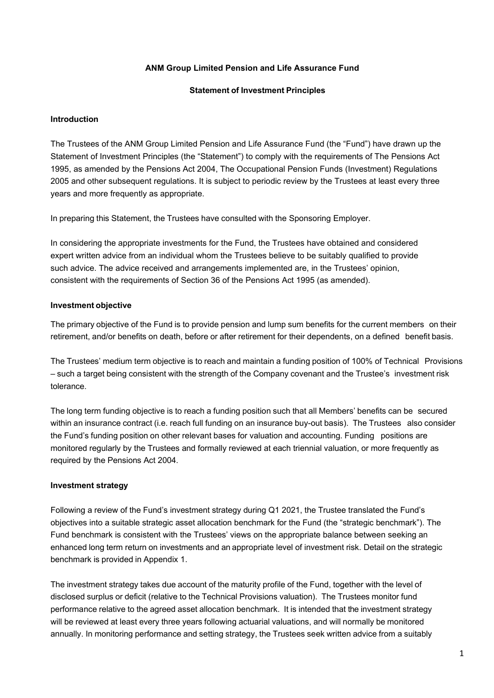## **ANM Group Limited Pension and Life Assurance Fund**

#### **Statement of Investment Principles**

#### **Introduction**

The Trustees of the ANM Group Limited Pension and Life Assurance Fund (the "Fund") have drawn up the Statement of Investment Principles (the "Statement") to comply with the requirements of The Pensions Act 1995, as amended by the Pensions Act 2004, The Occupational Pension Funds (Investment) Regulations 2005 and other subsequent regulations. It is subject to periodic review by the Trustees at least every three years and more frequently as appropriate.

In preparing this Statement, the Trustees have consulted with the Sponsoring Employer.

In considering the appropriate investments for the Fund, the Trustees have obtained and considered expert written advice from an individual whom the Trustees believe to be suitably qualified to provide such advice. The advice received and arrangements implemented are, in the Trustees' opinion, consistent with the requirements of Section 36 of the Pensions Act 1995 (as amended).

#### **Investment objective**

The primary objective of the Fund is to provide pension and lump sum benefits for the current members on their retirement, and/or benefits on death, before or after retirement for their dependents, on a defined benefit basis.

The Trustees' medium term objective is to reach and maintain a funding position of 100% of Technical Provisions – such a target being consistent with the strength of the Company covenant and the Trustee's investment risk tolerance.

The long term funding objective is to reach a funding position such that all Members' benefits can be secured within an insurance contract (i.e. reach full funding on an insurance buy-out basis). The Trustees also consider the Fund's funding position on other relevant bases for valuation and accounting. Funding positions are monitored regularly by the Trustees and formally reviewed at each triennial valuation, or more frequently as required by the Pensions Act 2004.

### **Investment strategy**

Following a review of the Fund's investment strategy during Q1 2021, the Trustee translated the Fund's objectives into a suitable strategic asset allocation benchmark for the Fund (the "strategic benchmark"). The Fund benchmark is consistent with the Trustees' views on the appropriate balance between seeking an enhanced long term return on investments and an appropriate level of investment risk. Detail on the strategic benchmark is provided in Appendix 1.

The investment strategy takes due account of the maturity profile of the Fund, together with the level of disclosed surplus or deficit (relative to the Technical Provisions valuation). The Trustees monitor fund performance relative to the agreed asset allocation benchmark. It is intended that the investment strategy will be reviewed at least every three years following actuarial valuations, and will normally be monitored annually. In monitoring performance and setting strategy, the Trustees seek written advice from a suitably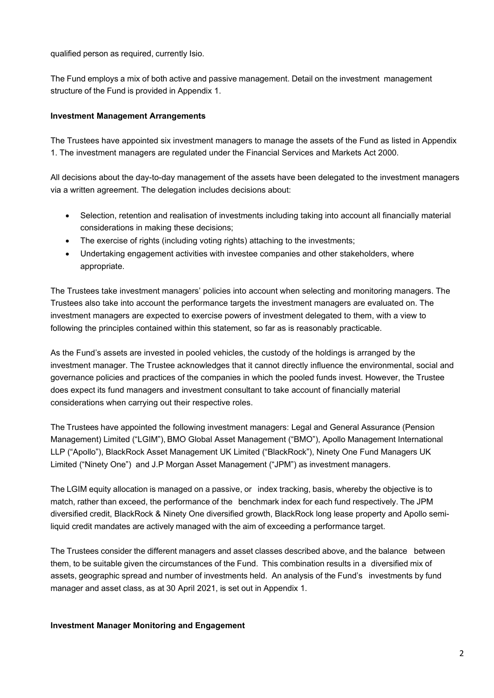qualified person as required, currently Isio.

The Fund employs a mix of both active and passive management. Detail on the investment management structure of the Fund is provided in Appendix 1.

## **Investment Management Arrangements**

The Trustees have appointed six investment managers to manage the assets of the Fund as listed in Appendix 1. The investment managers are regulated under the Financial Services and Markets Act 2000.

All decisions about the day-to-day management of the assets have been delegated to the investment managers via a written agreement. The delegation includes decisions about:

- Selection, retention and realisation of investments including taking into account all financially material considerations in making these decisions;
- The exercise of rights (including voting rights) attaching to the investments;
- Undertaking engagement activities with investee companies and other stakeholders, where appropriate.

The Trustees take investment managers' policies into account when selecting and monitoring managers. The Trustees also take into account the performance targets the investment managers are evaluated on. The investment managers are expected to exercise powers of investment delegated to them, with a view to following the principles contained within this statement, so far as is reasonably practicable.

As the Fund's assets are invested in pooled vehicles, the custody of the holdings is arranged by the investment manager. The Trustee acknowledges that it cannot directly influence the environmental, social and governance policies and practices of the companies in which the pooled funds invest. However, the Trustee does expect its fund managers and investment consultant to take account of financially material considerations when carrying out their respective roles.

The Trustees have appointed the following investment managers: Legal and General Assurance (Pension Management) Limited ("LGIM"), BMO Global Asset Management ("BMO"), Apollo Management International LLP ("Apollo"), BlackRock Asset Management UK Limited ("BlackRock"), Ninety One Fund Managers UK Limited ("Ninety One") and J.P Morgan Asset Management ("JPM") as investment managers.

The LGIM equity allocation is managed on a passive, or index tracking, basis, whereby the objective is to match, rather than exceed, the performance of the benchmark index for each fund respectively. The JPM diversified credit, BlackRock & Ninety One diversified growth, BlackRock long lease property and Apollo semiliquid credit mandates are actively managed with the aim of exceeding a performance target.

The Trustees consider the different managers and asset classes described above, and the balance between them, to be suitable given the circumstances of the Fund. This combination results in a diversified mix of assets, geographic spread and number of investments held. An analysis of the Fund's investments by fund manager and asset class, as at 30 April 2021, is set out in Appendix 1.

### **Investment Manager Monitoring and Engagement**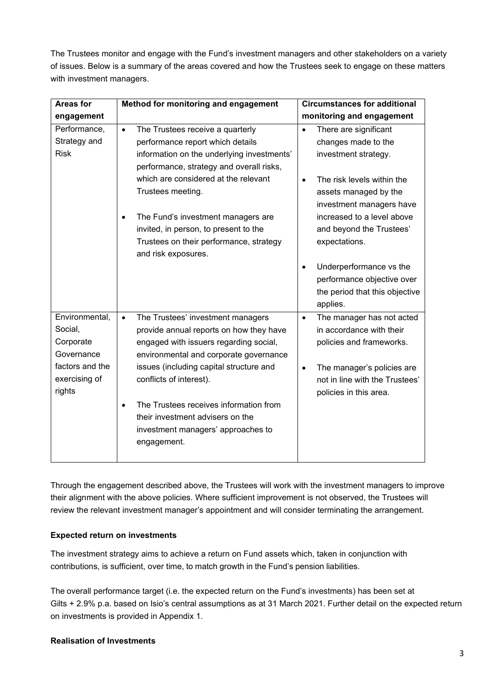The Trustees monitor and engage with the Fund's investment managers and other stakeholders on a variety of issues. Below is a summary of the areas covered and how the Trustees seek to engage on these matters with investment managers.

| <b>Areas for</b> | Method for monitoring and engagement           | <b>Circumstances for additional</b>     |
|------------------|------------------------------------------------|-----------------------------------------|
| engagement       |                                                | monitoring and engagement               |
| Performance,     | The Trustees receive a quarterly<br>$\bullet$  | There are significant<br>$\bullet$      |
| Strategy and     | performance report which details               | changes made to the                     |
| <b>Risk</b>      | information on the underlying investments'     | investment strategy.                    |
|                  | performance, strategy and overall risks,       |                                         |
|                  | which are considered at the relevant           | The risk levels within the<br>$\bullet$ |
|                  | Trustees meeting.                              | assets managed by the                   |
|                  |                                                | investment managers have                |
|                  | The Fund's investment managers are             | increased to a level above              |
|                  | invited, in person, to present to the          | and beyond the Trustees'                |
|                  | Trustees on their performance, strategy        | expectations.                           |
|                  | and risk exposures.                            |                                         |
|                  |                                                | Underperformance vs the<br>$\bullet$    |
|                  |                                                | performance objective over              |
|                  |                                                | the period that this objective          |
|                  |                                                | applies.                                |
| Environmental,   | The Trustees' investment managers<br>$\bullet$ | The manager has not acted<br>$\bullet$  |
| Social,          | provide annual reports on how they have        | in accordance with their                |
| Corporate        | engaged with issuers regarding social,         | policies and frameworks.                |
| Governance       | environmental and corporate governance         |                                         |
| factors and the  | issues (including capital structure and        | The manager's policies are<br>$\bullet$ |
| exercising of    | conflicts of interest).                        | not in line with the Trustees'          |
| rights           |                                                | policies in this area.                  |
|                  | The Trustees receives information from         |                                         |
|                  | their investment advisers on the               |                                         |
|                  | investment managers' approaches to             |                                         |
|                  | engagement.                                    |                                         |
|                  |                                                |                                         |

Through the engagement described above, the Trustees will work with the investment managers to improve their alignment with the above policies. Where sufficient improvement is not observed, the Trustees will review the relevant investment manager's appointment and will consider terminating the arrangement.

## **Expected return on investments**

The investment strategy aims to achieve a return on Fund assets which, taken in conjunction with contributions, is sufficient, over time, to match growth in the Fund's pension liabilities.

The overall performance target (i.e. the expected return on the Fund's investments) has been set at Gilts + 2.9% p.a. based on Isio's central assumptions as at 31 March 2021. Further detail on the expected return on investments is provided in Appendix 1.

### **Realisation of Investments**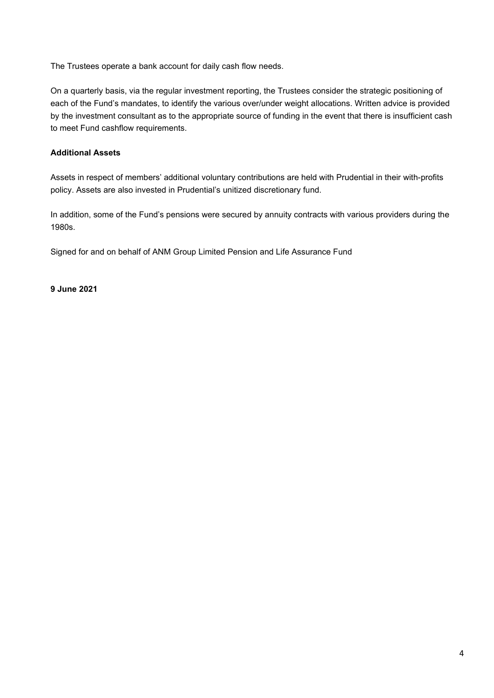The Trustees operate a bank account for daily cash flow needs.

On a quarterly basis, via the regular investment reporting, the Trustees consider the strategic positioning of each of the Fund's mandates, to identify the various over/under weight allocations. Written advice is provided by the investment consultant as to the appropriate source of funding in the event that there is insufficient cash to meet Fund cashflow requirements.

## **Additional Assets**

Assets in respect of members' additional voluntary contributions are held with Prudential in their with-profits policy. Assets are also invested in Prudential's unitized discretionary fund.

In addition, some of the Fund's pensions were secured by annuity contracts with various providers during the 1980s.

Signed for and on behalf of ANM Group Limited Pension and Life Assurance Fund

**9 June 2021**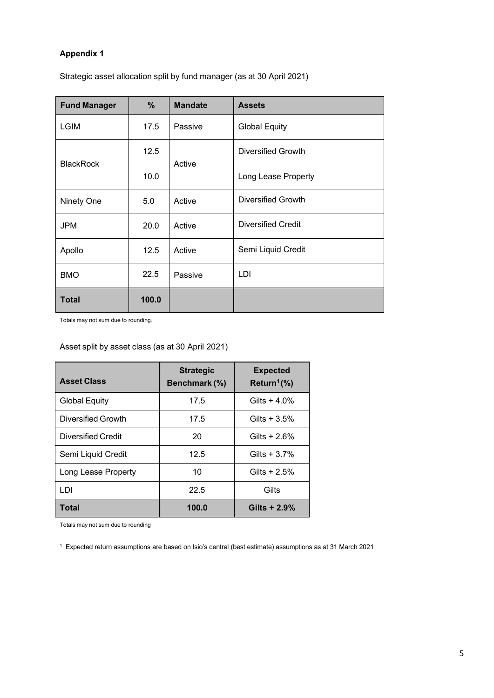## **Appendix 1**

Strategic asset allocation split by fund manager (as at 30 April 2021)

| <b>Fund Manager</b> | %     | <b>Mandate</b> | <b>Assets</b>             |
|---------------------|-------|----------------|---------------------------|
| <b>LGIM</b>         | 17.5  | Passive        | <b>Global Equity</b>      |
| <b>BlackRock</b>    | 12.5  | Active         | Diversified Growth        |
|                     | 10.0  |                | Long Lease Property       |
| Ninety One          | 5.0   | Active         | <b>Diversified Growth</b> |
| <b>JPM</b>          | 20.0  | Active         | <b>Diversified Credit</b> |
| Apollo              | 12.5  | Active         | Semi Liquid Credit        |
| <b>BMO</b>          | 22.5  | Passive        | LDI                       |
| <b>Total</b>        | 100.0 |                |                           |

Totals may not sum due to rounding.

Asset split by asset class (as at 30 April 2021)

| <b>Asset Class</b>        | <b>Strategic</b><br>Benchmark (%) | <b>Expected</b><br>Return <sup>1</sup> $(\%)$ |
|---------------------------|-----------------------------------|-----------------------------------------------|
| <b>Global Equity</b>      | 17.5                              | Gilts $+4.0\%$                                |
| <b>Diversified Growth</b> | 17.5                              | Gilts $+3.5%$                                 |
| Diversified Credit        | 20                                | Gilts + $2.6%$                                |
| Semi Liquid Credit        | 12.5                              | Gilts $+3.7%$                                 |
| Long Lease Property       | 10                                | Gilts + $2.5%$                                |
| LDI                       | 22.5                              | Gilts                                         |
| Total                     | 100.0                             | Gilts $+2.9%$                                 |

Totals may not sum due to rounding

1 Expected return assumptions are based on Isio's central (best estimate) assumptions as at 31 March 2021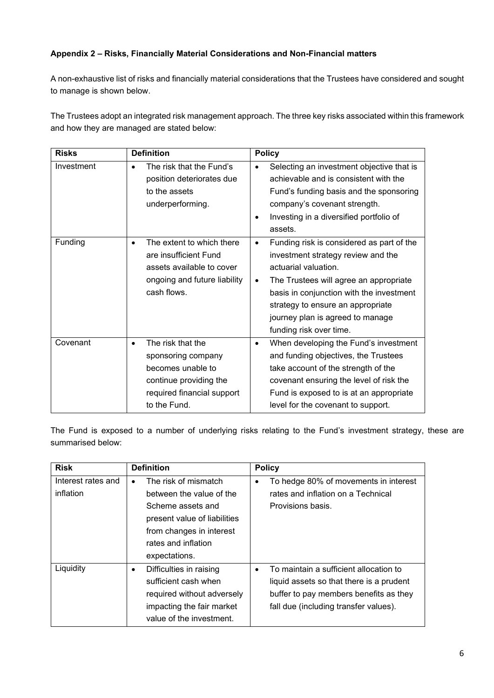## **Appendix 2 – Risks, Financially Material Considerations and Non-Financial matters**

A non-exhaustive list of risks and financially material considerations that the Trustees have considered and sought to manage is shown below.

The Trustees adopt an integrated risk management approach. The three key risks associated within this framework and how they are managed are stated below:

| <b>Risks</b> | <b>Definition</b>                                                                                                                                 | <b>Policy</b>                                                                                                                                                                                                                                                                                                       |
|--------------|---------------------------------------------------------------------------------------------------------------------------------------------------|---------------------------------------------------------------------------------------------------------------------------------------------------------------------------------------------------------------------------------------------------------------------------------------------------------------------|
| Investment   | The risk that the Fund's<br>$\bullet$<br>position deteriorates due<br>to the assets<br>underperforming.                                           | Selecting an investment objective that is<br>achievable and is consistent with the<br>Fund's funding basis and the sponsoring<br>company's covenant strength.<br>Investing in a diversified portfolio of<br>٠<br>assets.                                                                                            |
| Funding      | The extent to which there<br>are insufficient Fund<br>assets available to cover<br>ongoing and future liability<br>cash flows.                    | Funding risk is considered as part of the<br>٠<br>investment strategy review and the<br>actuarial valuation.<br>The Trustees will agree an appropriate<br>$\bullet$<br>basis in conjunction with the investment<br>strategy to ensure an appropriate<br>journey plan is agreed to manage<br>funding risk over time. |
| Covenant     | The risk that the<br>$\bullet$<br>sponsoring company<br>becomes unable to<br>continue providing the<br>required financial support<br>to the Fund. | When developing the Fund's investment<br>$\bullet$<br>and funding objectives, the Trustees<br>take account of the strength of the<br>covenant ensuring the level of risk the<br>Fund is exposed to is at an appropriate<br>level for the covenant to support.                                                       |

The Fund is exposed to a number of underlying risks relating to the Fund's investment strategy, these are summarised below:

| <b>Risk</b>        | <b>Definition</b>                    | <b>Policy</b>                                       |
|--------------------|--------------------------------------|-----------------------------------------------------|
| Interest rates and | The risk of mismatch<br>٠            | To hedge 80% of movements in interest<br>٠          |
| inflation          | between the value of the             | rates and inflation on a Technical                  |
|                    | Scheme assets and                    | Provisions basis.                                   |
|                    | present value of liabilities         |                                                     |
|                    | from changes in interest             |                                                     |
|                    | rates and inflation                  |                                                     |
|                    | expectations.                        |                                                     |
| Liquidity          | Difficulties in raising<br>$\bullet$ | To maintain a sufficient allocation to<br>$\bullet$ |
|                    | sufficient cash when                 | liquid assets so that there is a prudent            |
|                    | required without adversely           | buffer to pay members benefits as they              |
|                    | impacting the fair market            | fall due (including transfer values).               |
|                    | value of the investment.             |                                                     |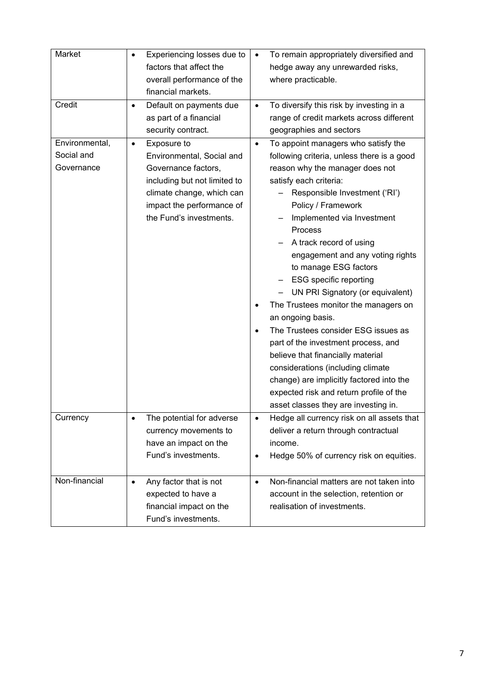| Market         | $\bullet$ | Experiencing losses due to<br>factors that affect the | $\bullet$ | To remain appropriately diversified and<br>hedge away any unrewarded risks, |
|----------------|-----------|-------------------------------------------------------|-----------|-----------------------------------------------------------------------------|
|                |           | overall performance of the                            |           | where practicable.                                                          |
|                |           | financial markets.                                    |           |                                                                             |
| Credit         | ٠         | Default on payments due                               | $\bullet$ | To diversify this risk by investing in a                                    |
|                |           | as part of a financial                                |           | range of credit markets across different                                    |
|                |           | security contract.                                    |           | geographies and sectors                                                     |
| Environmental, | $\bullet$ | Exposure to                                           | $\bullet$ | To appoint managers who satisfy the                                         |
| Social and     |           | Environmental, Social and                             |           | following criteria, unless there is a good                                  |
| Governance     |           | Governance factors,                                   |           | reason why the manager does not                                             |
|                |           | including but not limited to                          |           | satisfy each criteria:                                                      |
|                |           | climate change, which can                             |           | Responsible Investment ('RI')                                               |
|                |           | impact the performance of                             |           | Policy / Framework                                                          |
|                |           | the Fund's investments.                               |           | Implemented via Investment                                                  |
|                |           |                                                       |           | Process                                                                     |
|                |           |                                                       |           | A track record of using                                                     |
|                |           |                                                       |           | engagement and any voting rights                                            |
|                |           |                                                       |           | to manage ESG factors                                                       |
|                |           |                                                       |           | <b>ESG</b> specific reporting                                               |
|                |           |                                                       |           | UN PRI Signatory (or equivalent)                                            |
|                |           |                                                       |           | The Trustees monitor the managers on                                        |
|                |           |                                                       |           | an ongoing basis.                                                           |
|                |           |                                                       | $\bullet$ | The Trustees consider ESG issues as                                         |
|                |           |                                                       |           | part of the investment process, and                                         |
|                |           |                                                       |           | believe that financially material                                           |
|                |           |                                                       |           | considerations (including climate                                           |
|                |           |                                                       |           | change) are implicitly factored into the                                    |
|                |           |                                                       |           | expected risk and return profile of the                                     |
|                |           |                                                       |           | asset classes they are investing in.                                        |
| Currency       |           | The potential for adverse                             |           | Hedge all currency risk on all assets that                                  |
|                |           | currency movements to                                 |           | deliver a return through contractual                                        |
|                |           | have an impact on the                                 |           | income.                                                                     |
|                |           | Fund's investments.                                   | $\bullet$ | Hedge 50% of currency risk on equities.                                     |
|                |           |                                                       |           |                                                                             |
| Non-financial  | $\bullet$ | Any factor that is not                                | $\bullet$ | Non-financial matters are not taken into                                    |
|                |           | expected to have a                                    |           | account in the selection, retention or                                      |
|                |           | financial impact on the                               |           | realisation of investments.                                                 |
|                |           | Fund's investments.                                   |           |                                                                             |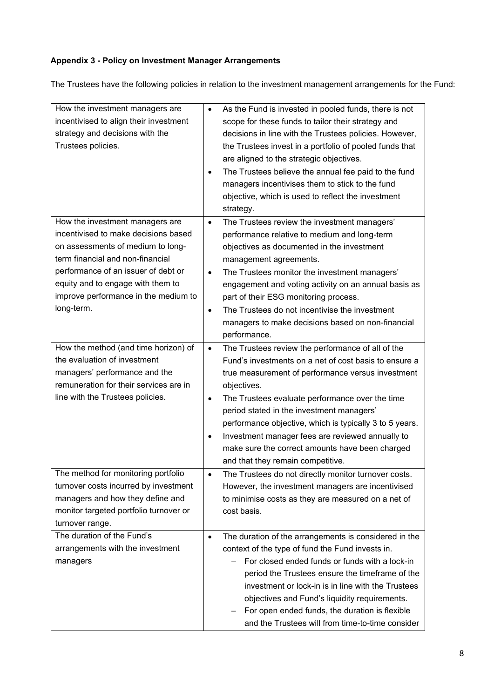# **Appendix 3 - Policy on Investment Manager Arrangements**

The Trustees have the following policies in relation to the investment management arrangements for the Fund:

| How the investment managers are        | $\bullet$ | As the Fund is invested in pooled funds, there is not   |
|----------------------------------------|-----------|---------------------------------------------------------|
| incentivised to align their investment |           | scope for these funds to tailor their strategy and      |
| strategy and decisions with the        |           | decisions in line with the Trustees policies. However,  |
| Trustees policies.                     |           | the Trustees invest in a portfolio of pooled funds that |
|                                        |           | are aligned to the strategic objectives.                |
|                                        | $\bullet$ | The Trustees believe the annual fee paid to the fund    |
|                                        |           | managers incentivises them to stick to the fund         |
|                                        |           | objective, which is used to reflect the investment      |
|                                        |           | strategy.                                               |
| How the investment managers are        | $\bullet$ | The Trustees review the investment managers'            |
| incentivised to make decisions based   |           | performance relative to medium and long-term            |
| on assessments of medium to long-      |           | objectives as documented in the investment              |
| term financial and non-financial       |           | management agreements.                                  |
| performance of an issuer of debt or    | $\bullet$ | The Trustees monitor the investment managers'           |
| equity and to engage with them to      |           | engagement and voting activity on an annual basis as    |
| improve performance in the medium to   |           | part of their ESG monitoring process.                   |
| long-term.                             | $\bullet$ | The Trustees do not incentivise the investment          |
|                                        |           | managers to make decisions based on non-financial       |
|                                        |           | performance.                                            |
| How the method (and time horizon) of   | $\bullet$ | The Trustees review the performance of all of the       |
| the evaluation of investment           |           | Fund's investments on a net of cost basis to ensure a   |
| managers' performance and the          |           | true measurement of performance versus investment       |
| remuneration for their services are in |           | objectives.                                             |
| line with the Trustees policies.       | $\bullet$ | The Trustees evaluate performance over the time         |
|                                        |           | period stated in the investment managers'               |
|                                        |           | performance objective, which is typically 3 to 5 years. |
|                                        | $\bullet$ | Investment manager fees are reviewed annually to        |
|                                        |           | make sure the correct amounts have been charged         |
|                                        |           | and that they remain competitive.                       |
| The method for monitoring portfolio    |           | The Trustees do not directly monitor turnover costs.    |
| turnover costs incurred by investment  |           | However, the investment managers are incentivised       |
| managers and how they define and       |           | to minimise costs as they are measured on a net of      |
| monitor targeted portfolio turnover or |           | cost basis.                                             |
| turnover range.                        |           |                                                         |
| The duration of the Fund's             | $\bullet$ | The duration of the arrangements is considered in the   |
| arrangements with the investment       |           | context of the type of fund the Fund invests in.        |
| managers                               |           | For closed ended funds or funds with a lock-in          |
|                                        |           | period the Trustees ensure the timeframe of the         |
|                                        |           | investment or lock-in is in line with the Trustees      |
|                                        |           | objectives and Fund's liquidity requirements.           |
|                                        |           | For open ended funds, the duration is flexible          |
|                                        |           | and the Trustees will from time-to-time consider        |
|                                        |           |                                                         |